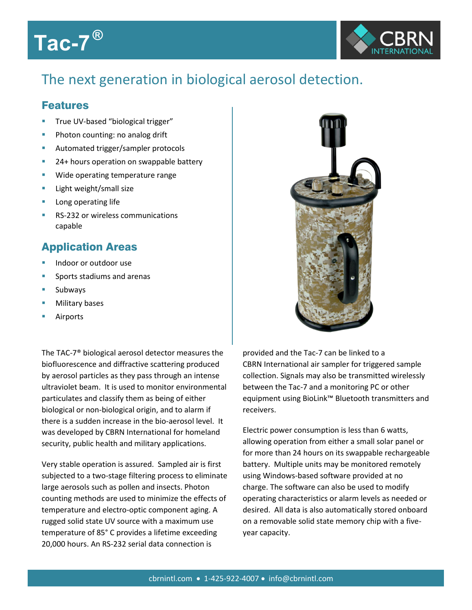## **Tac-7 ®**



## The next generation in biological aerosol detection.

## Features

- True UV-based "biological trigger"
- Photon counting: no analog drift
- Automated trigger/sampler protocols
- <sup>2</sup> 24+ hours operation on swappable battery
- Wide operating temperature range
- Light weight/small size
- **Long operating life**
- RS-232 or wireless communications capable

## Application Areas

- Indoor or outdoor use
- Sports stadiums and arenas
- Subways
- Military bases
- Airports

The TAC-7® biological aerosol detector measures the biofluorescence and diffractive scattering produced by aerosol particles as they pass through an intense ultraviolet beam. It is used to monitor environmental particulates and classify them as being of either biological or non-biological origin, and to alarm if there is a sudden increase in the bio-aerosol level. It was developed by CBRN International for homeland security, public health and military applications.

Very stable operation is assured. Sampled air is first subjected to a two-stage filtering process to eliminate large aerosols such as pollen and insects. Photon counting methods are used to minimize the effects of temperature and electro-optic component aging. A rugged solid state UV source with a maximum use temperature of 85° C provides a lifetime exceeding 20,000 hours. An RS-232 serial data connection is



provided and the Tac-7 can be linked to a CBRN International air sampler for triggered sample collection. Signals may also be transmitted wirelessly between the Tac-7 and a monitoring PC or other equipment using BioLink™ Bluetooth transmitters and receivers.

Electric power consumption is less than 6 watts, allowing operation from either a small solar panel or for more than 24 hours on its swappable rechargeable battery. Multiple units may be monitored remotely using Windows-based software provided at no charge. The software can also be used to modify operating characteristics or alarm levels as needed or desired. All data is also automatically stored onboard on a removable solid state memory chip with a fiveyear capacity.